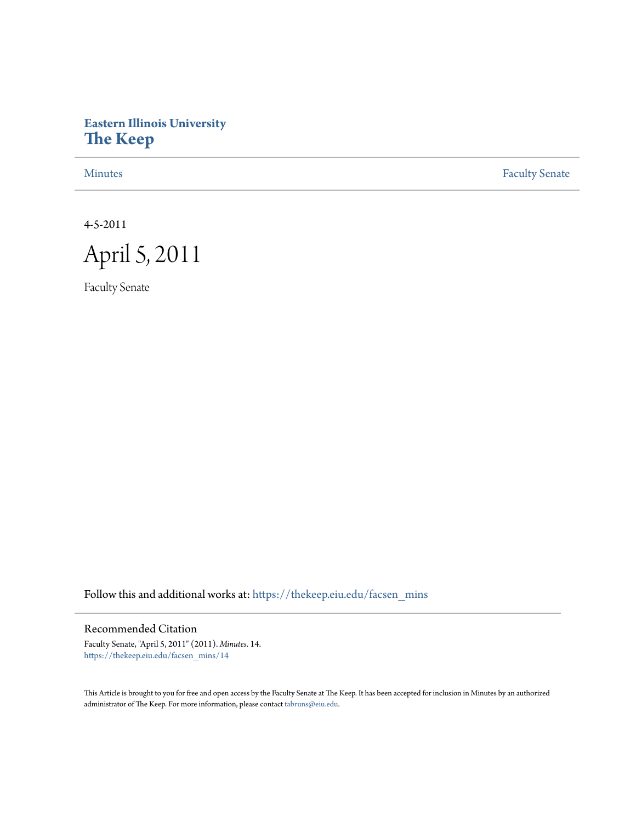# **Eastern Illinois University [The Keep](https://thekeep.eiu.edu?utm_source=thekeep.eiu.edu%2Ffacsen_mins%2F14&utm_medium=PDF&utm_campaign=PDFCoverPages)**

[Minutes](https://thekeep.eiu.edu/facsen_mins?utm_source=thekeep.eiu.edu%2Ffacsen_mins%2F14&utm_medium=PDF&utm_campaign=PDFCoverPages) **[Faculty Senate](https://thekeep.eiu.edu/fac_senate?utm_source=thekeep.eiu.edu%2Ffacsen_mins%2F14&utm_medium=PDF&utm_campaign=PDFCoverPages)** 

4-5-2011



Faculty Senate

Follow this and additional works at: [https://thekeep.eiu.edu/facsen\\_mins](https://thekeep.eiu.edu/facsen_mins?utm_source=thekeep.eiu.edu%2Ffacsen_mins%2F14&utm_medium=PDF&utm_campaign=PDFCoverPages)

## Recommended Citation

Faculty Senate, "April 5, 2011" (2011). *Minutes*. 14. [https://thekeep.eiu.edu/facsen\\_mins/14](https://thekeep.eiu.edu/facsen_mins/14?utm_source=thekeep.eiu.edu%2Ffacsen_mins%2F14&utm_medium=PDF&utm_campaign=PDFCoverPages)

This Article is brought to you for free and open access by the Faculty Senate at The Keep. It has been accepted for inclusion in Minutes by an authorized administrator of The Keep. For more information, please contact [tabruns@eiu.edu.](mailto:tabruns@eiu.edu)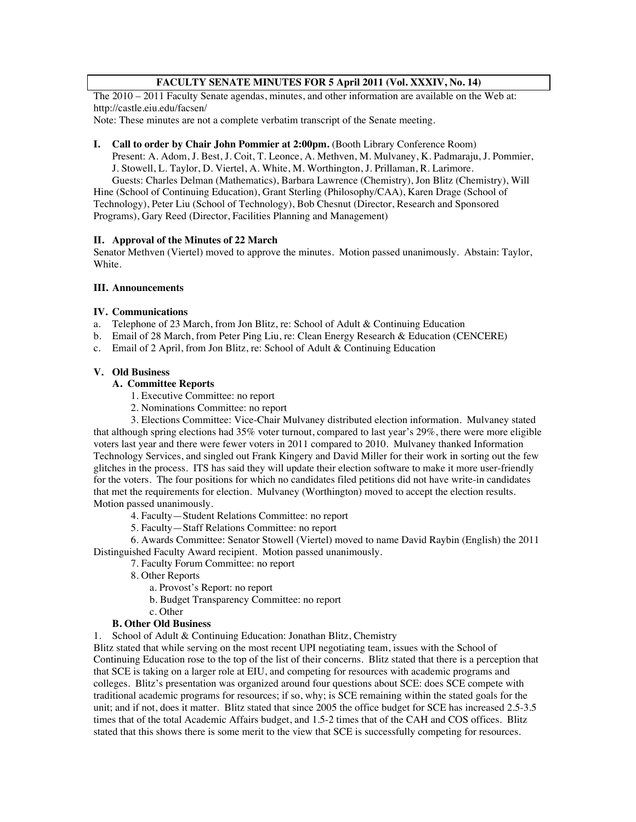## **FACULTY SENATE MINUTES FOR 5 April 2011 (Vol. XXXIV, No. 14)**

The 2010 – 2011 Faculty Senate agendas, minutes, and other information are available on the Web at: http://castle.eiu.edu/facsen/

Note: These minutes are not a complete verbatim transcript of the Senate meeting.

#### **I. Call to order by Chair John Pommier at 2:00pm.** (Booth Library Conference Room)

Present: A. Adom, J. Best, J. Coit, T. Leonce, A. Methven, M. Mulvaney, K. Padmaraju, J. Pommier, J. Stowell, L. Taylor, D. Viertel, A. White, M. Worthington, J. Prillaman, R. Larimore.

Guests: Charles Delman (Mathematics), Barbara Lawrence (Chemistry), Jon Blitz (Chemistry), Will Hine (School of Continuing Education), Grant Sterling (Philosophy/CAA), Karen Drage (School of Technology), Peter Liu (School of Technology), Bob Chesnut (Director, Research and Sponsored Programs), Gary Reed (Director, Facilities Planning and Management)

#### **II. Approval of the Minutes of 22 March**

Senator Methven (Viertel) moved to approve the minutes. Motion passed unanimously. Abstain: Taylor, White.

#### **III. Announcements**

#### **IV. Communications**

- a. Telephone of 23 March, from Jon Blitz, re: School of Adult & Continuing Education
- b. Email of 28 March, from Peter Ping Liu, re: Clean Energy Research & Education (CENCERE)
- c. Email of 2 April, from Jon Blitz, re: School of Adult & Continuing Education

#### **V. Old Business**

## **A. Committee Reports**

- 1. Executive Committee: no report
- 2. Nominations Committee: no report

3. Elections Committee: Vice-Chair Mulvaney distributed election information. Mulvaney stated that although spring elections had 35% voter turnout, compared to last year's 29%, there were more eligible voters last year and there were fewer voters in 2011 compared to 2010. Mulvaney thanked Information Technology Services, and singled out Frank Kingery and David Miller for their work in sorting out the few glitches in the process. ITS has said they will update their election software to make it more user-friendly for the voters. The four positions for which no candidates filed petitions did not have write-in candidates that met the requirements for election. Mulvaney (Worthington) moved to accept the election results. Motion passed unanimously.

4. Faculty—Student Relations Committee: no report

5. Faculty—Staff Relations Committee: no report

6. Awards Committee: Senator Stowell (Viertel) moved to name David Raybin (English) the 2011 Distinguished Faculty Award recipient. Motion passed unanimously.

- 7. Faculty Forum Committee: no report
	- 8. Other Reports
		- a. Provost's Report: no report
		- b. Budget Transparency Committee: no report
		- c. Other

#### **B. Other Old Business**

1. School of Adult & Continuing Education: Jonathan Blitz, Chemistry

Blitz stated that while serving on the most recent UPI negotiating team, issues with the School of Continuing Education rose to the top of the list of their concerns. Blitz stated that there is a perception that that SCE is taking on a larger role at EIU, and competing for resources with academic programs and colleges. Blitz's presentation was organized around four questions about SCE: does SCE compete with traditional academic programs for resources; if so, why; is SCE remaining within the stated goals for the unit; and if not, does it matter. Blitz stated that since 2005 the office budget for SCE has increased 2.5-3.5 times that of the total Academic Affairs budget, and 1.5-2 times that of the CAH and COS offices. Blitz stated that this shows there is some merit to the view that SCE is successfully competing for resources.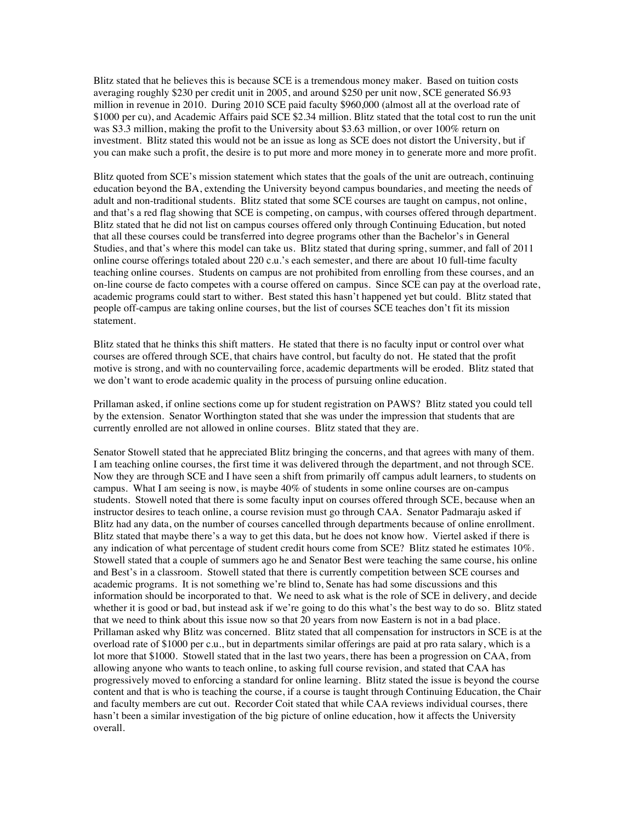Blitz stated that he believes this is because SCE is a tremendous money maker. Based on tuition costs averaging roughly \$230 per credit unit in 2005, and around \$250 per unit now, SCE generated S6.93 million in revenue in 2010. During 2010 SCE paid faculty \$960,000 (almost all at the overload rate of \$1000 per cu), and Academic Affairs paid SCE \$2.34 million. Blitz stated that the total cost to run the unit was S3.3 million, making the profit to the University about \$3.63 million, or over 100% return on investment. Blitz stated this would not be an issue as long as SCE does not distort the University, but if you can make such a profit, the desire is to put more and more money in to generate more and more profit.

Blitz quoted from SCE's mission statement which states that the goals of the unit are outreach, continuing education beyond the BA, extending the University beyond campus boundaries, and meeting the needs of adult and non-traditional students. Blitz stated that some SCE courses are taught on campus, not online, and that's a red flag showing that SCE is competing, on campus, with courses offered through department. Blitz stated that he did not list on campus courses offered only through Continuing Education, but noted that all these courses could be transferred into degree programs other than the Bachelor's in General Studies, and that's where this model can take us. Blitz stated that during spring, summer, and fall of 2011 online course offerings totaled about 220 c.u.'s each semester, and there are about 10 full-time faculty teaching online courses. Students on campus are not prohibited from enrolling from these courses, and an on-line course de facto competes with a course offered on campus. Since SCE can pay at the overload rate, academic programs could start to wither. Best stated this hasn't happened yet but could. Blitz stated that people off-campus are taking online courses, but the list of courses SCE teaches don't fit its mission statement.

Blitz stated that he thinks this shift matters. He stated that there is no faculty input or control over what courses are offered through SCE, that chairs have control, but faculty do not. He stated that the profit motive is strong, and with no countervailing force, academic departments will be eroded. Blitz stated that we don't want to erode academic quality in the process of pursuing online education.

Prillaman asked, if online sections come up for student registration on PAWS? Blitz stated you could tell by the extension. Senator Worthington stated that she was under the impression that students that are currently enrolled are not allowed in online courses. Blitz stated that they are.

Senator Stowell stated that he appreciated Blitz bringing the concerns, and that agrees with many of them. I am teaching online courses, the first time it was delivered through the department, and not through SCE. Now they are through SCE and I have seen a shift from primarily off campus adult learners, to students on campus. What I am seeing is now, is maybe 40% of students in some online courses are on-campus students. Stowell noted that there is some faculty input on courses offered through SCE, because when an instructor desires to teach online, a course revision must go through CAA. Senator Padmaraju asked if Blitz had any data, on the number of courses cancelled through departments because of online enrollment. Blitz stated that maybe there's a way to get this data, but he does not know how. Viertel asked if there is any indication of what percentage of student credit hours come from SCE? Blitz stated he estimates 10%. Stowell stated that a couple of summers ago he and Senator Best were teaching the same course, his online and Best's in a classroom. Stowell stated that there is currently competition between SCE courses and academic programs. It is not something we're blind to, Senate has had some discussions and this information should be incorporated to that. We need to ask what is the role of SCE in delivery, and decide whether it is good or bad, but instead ask if we're going to do this what's the best way to do so. Blitz stated that we need to think about this issue now so that 20 years from now Eastern is not in a bad place. Prillaman asked why Blitz was concerned. Blitz stated that all compensation for instructors in SCE is at the overload rate of \$1000 per c.u., but in departments similar offerings are paid at pro rata salary, which is a lot more that \$1000. Stowell stated that in the last two years, there has been a progression on CAA, from allowing anyone who wants to teach online, to asking full course revision, and stated that CAA has progressively moved to enforcing a standard for online learning. Blitz stated the issue is beyond the course content and that is who is teaching the course, if a course is taught through Continuing Education, the Chair and faculty members are cut out. Recorder Coit stated that while CAA reviews individual courses, there hasn't been a similar investigation of the big picture of online education, how it affects the University overall.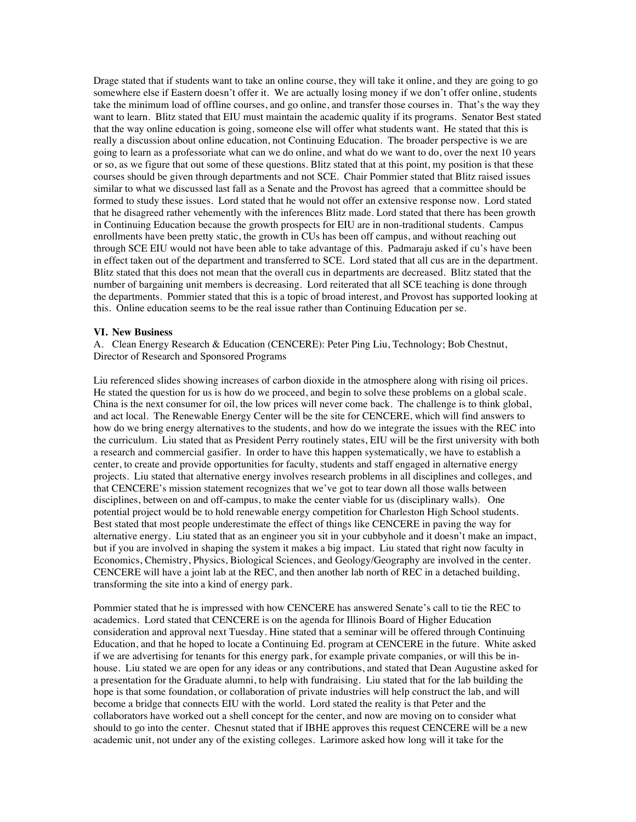Drage stated that if students want to take an online course, they will take it online, and they are going to go somewhere else if Eastern doesn't offer it. We are actually losing money if we don't offer online, students take the minimum load of offline courses, and go online, and transfer those courses in. That's the way they want to learn. Blitz stated that EIU must maintain the academic quality if its programs. Senator Best stated that the way online education is going, someone else will offer what students want. He stated that this is really a discussion about online education, not Continuing Education. The broader perspective is we are going to learn as a professoriate what can we do online, and what do we want to do, over the next 10 years or so, as we figure that out some of these questions. Blitz stated that at this point, my position is that these courses should be given through departments and not SCE. Chair Pommier stated that Blitz raised issues similar to what we discussed last fall as a Senate and the Provost has agreed that a committee should be formed to study these issues. Lord stated that he would not offer an extensive response now. Lord stated that he disagreed rather vehemently with the inferences Blitz made. Lord stated that there has been growth in Continuing Education because the growth prospects for EIU are in non-traditional students. Campus enrollments have been pretty static, the growth in CUs has been off campus, and without reaching out through SCE EIU would not have been able to take advantage of this. Padmaraju asked if cu's have been in effect taken out of the department and transferred to SCE. Lord stated that all cus are in the department. Blitz stated that this does not mean that the overall cus in departments are decreased. Blitz stated that the number of bargaining unit members is decreasing. Lord reiterated that all SCE teaching is done through the departments. Pommier stated that this is a topic of broad interest, and Provost has supported looking at this. Online education seems to be the real issue rather than Continuing Education per se.

#### **VI. New Business**

A. Clean Energy Research & Education (CENCERE): Peter Ping Liu, Technology; Bob Chestnut, Director of Research and Sponsored Programs

Liu referenced slides showing increases of carbon dioxide in the atmosphere along with rising oil prices. He stated the question for us is how do we proceed, and begin to solve these problems on a global scale. China is the next consumer for oil, the low prices will never come back. The challenge is to think global, and act local. The Renewable Energy Center will be the site for CENCERE, which will find answers to how do we bring energy alternatives to the students, and how do we integrate the issues with the REC into the curriculum. Liu stated that as President Perry routinely states, EIU will be the first university with both a research and commercial gasifier. In order to have this happen systematically, we have to establish a center, to create and provide opportunities for faculty, students and staff engaged in alternative energy projects. Liu stated that alternative energy involves research problems in all disciplines and colleges, and that CENCERE's mission statement recognizes that we've got to tear down all those walls between disciplines, between on and off-campus, to make the center viable for us (disciplinary walls). One potential project would be to hold renewable energy competition for Charleston High School students. Best stated that most people underestimate the effect of things like CENCERE in paving the way for alternative energy. Liu stated that as an engineer you sit in your cubbyhole and it doesn't make an impact, but if you are involved in shaping the system it makes a big impact. Liu stated that right now faculty in Economics, Chemistry, Physics, Biological Sciences, and Geology/Geography are involved in the center. CENCERE will have a joint lab at the REC, and then another lab north of REC in a detached building, transforming the site into a kind of energy park.

Pommier stated that he is impressed with how CENCERE has answered Senate's call to tie the REC to academics. Lord stated that CENCERE is on the agenda for Illinois Board of Higher Education consideration and approval next Tuesday. Hine stated that a seminar will be offered through Continuing Education, and that he hoped to locate a Continuing Ed. program at CENCERE in the future. White asked if we are advertising for tenants for this energy park, for example private companies, or will this be inhouse. Liu stated we are open for any ideas or any contributions, and stated that Dean Augustine asked for a presentation for the Graduate alumni, to help with fundraising. Liu stated that for the lab building the hope is that some foundation, or collaboration of private industries will help construct the lab, and will become a bridge that connects EIU with the world. Lord stated the reality is that Peter and the collaborators have worked out a shell concept for the center, and now are moving on to consider what should to go into the center. Chesnut stated that if IBHE approves this request CENCERE will be a new academic unit, not under any of the existing colleges. Larimore asked how long will it take for the